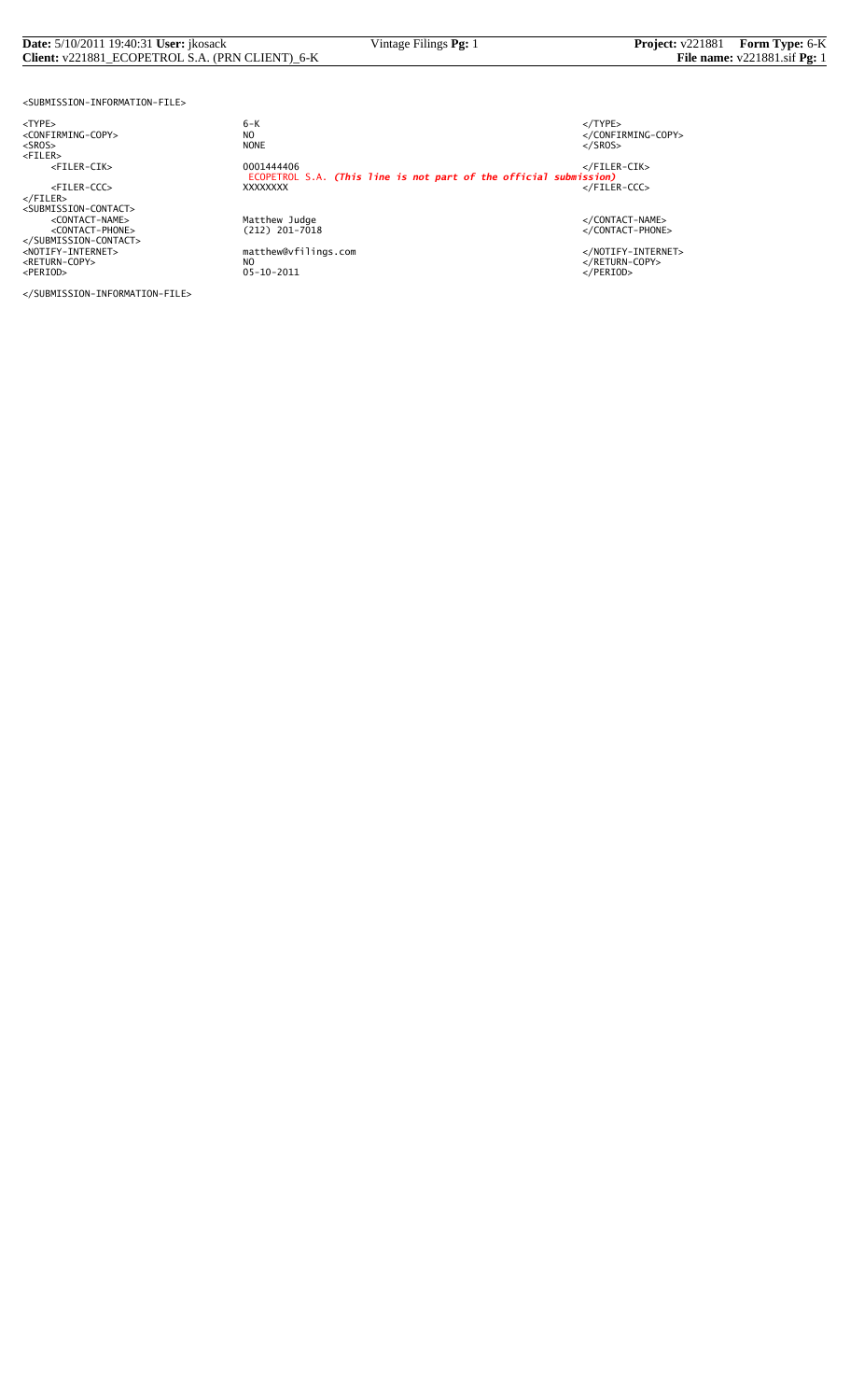# **Date:** 5/10/2011 19:40:31 **User:** jkosack Vintage Filings **Pg:** 1 **Project:** v221881 **Form Type:** 6-K **Client:** v221881\_ECOPETROL S.A. (PRN CLIENT)\_6-K **File nume:** v221881\_sif **Pg:** 1 **Client:** v221881\_ECOPETROL S.A. (PRN CLIENT)\_6-K

<SUBMISSION-INFORMATION-FILE>

</SUBMISSION-INFORMATION-FILE>

<TYPE> 6-K </TYPE>  $6 - K$ NO<br>
NO<br>
NONE<br>
NONE<br>
NONE<br>
S/SROS> <SROS> NONE </SROS> <FILER> <FILER-CIK> 0001444406 </FILER-CIK> ECOPETROL S.A. *(This line is not part of the official submission)* <FILER-CCC> XXXXXXXX </FILER-CCC> </FILER> <SUBMISSION-CONTACT> <CONTACT-NAME> Matthew Judge </CONTACT-NAME> <CONTACT-PHONE> (212) 201-7018 </CONTACT-PHONE> </SUBMISSION-CONTACT> <NOTIFY-INTERNET> matthew@vfilings.com </NOTIFY-INTERNET> <RETURN-COPY> NO </RETURN-COPY> <PERIOD> 05-10-2011 </PERIOD>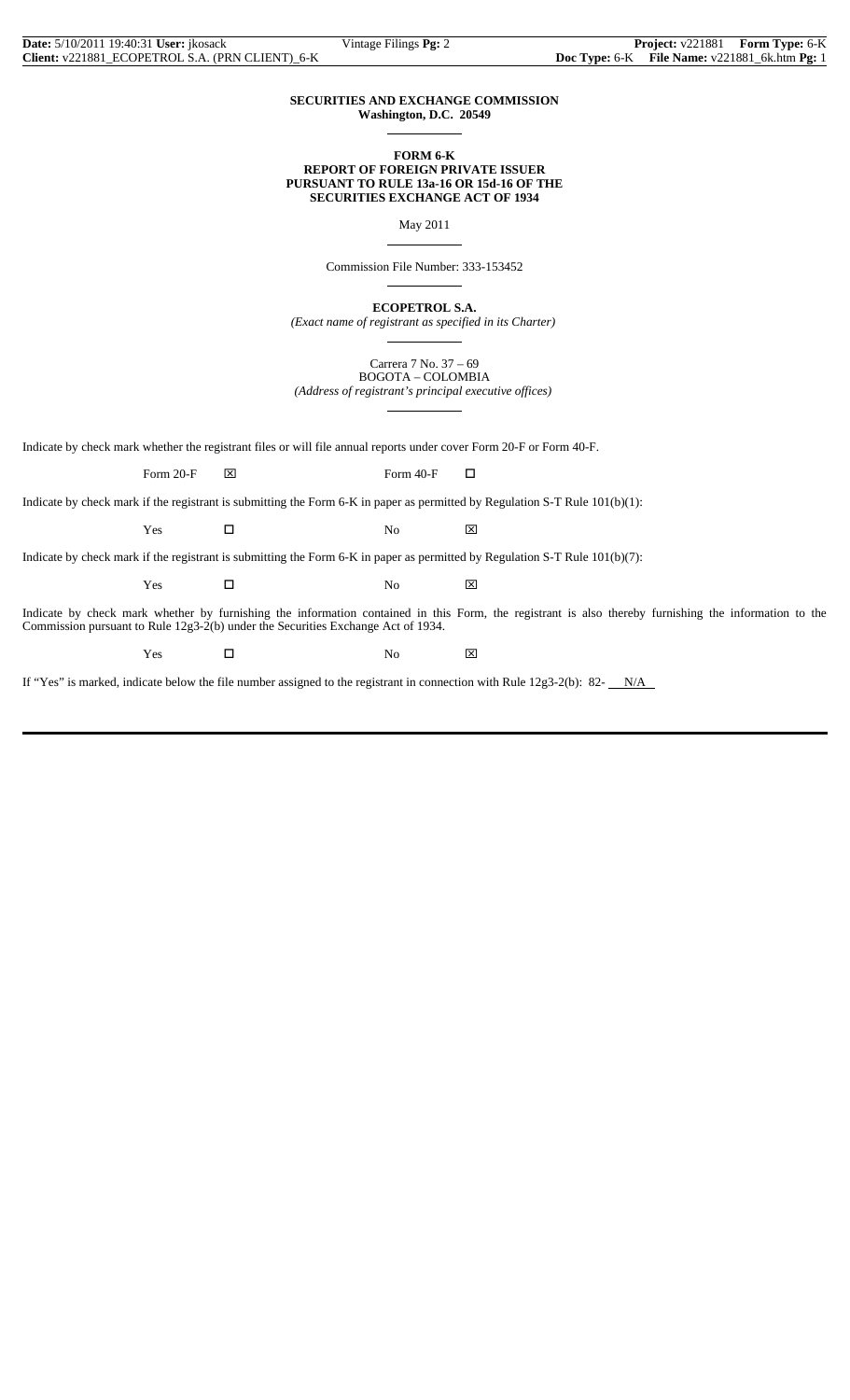### **SECURITIES AND EXCHANGE COMMISSION Washington, D.C. 20549**

 $\overline{a}$ 

 $\overline{a}$ 

 $\overline{a}$ 

 $\overline{a}$ 

### **FORM 6-K REPORT OF FOREIGN PRIVATE ISSUER PURSUANT TO RULE 13a-16 OR 15d-16 OF THE SECURITIES EXCHANGE ACT OF 1934**

May 2011

Commission File Number: 333-153452

**ECOPETROL S.A.**

*(Exact name of registrant as specified in its Charter)*  $\overline{a}$ 

> Carrera 7 No. 37 – 69 BOGOTA – COLOMBIA

*(Address of registrant's principal executive offices)*

Indicate by check mark whether the registrant files or will file annual reports under cover Form 20-F or Form 40-F.

Form 20-F  $\boxtimes$  Form 40-F  $\Box$ 

Indicate by check mark if the registrant is submitting the Form 6-K in paper as permitted by Regulation S-T Rule 101(b)(1):

 $Yes$   $\Box$  No  $\boxtimes$ 

Indicate by check mark if the registrant is submitting the Form 6-K in paper as permitted by Regulation S-T Rule 101(b)(7):

 $Yes$   $\Box$  No  $\boxtimes$ 

Indicate by check mark whether by furnishing the information contained in this Form, the registrant is also thereby furnishing the information to the Commission pursuant to Rule 12g3-2(b) under the Securities Exchange Act of 1934.

Yes □ No ⊠

If "Yes" is marked, indicate below the file number assigned to the registrant in connection with Rule  $12g3-2(b)$ : 82- $N/A$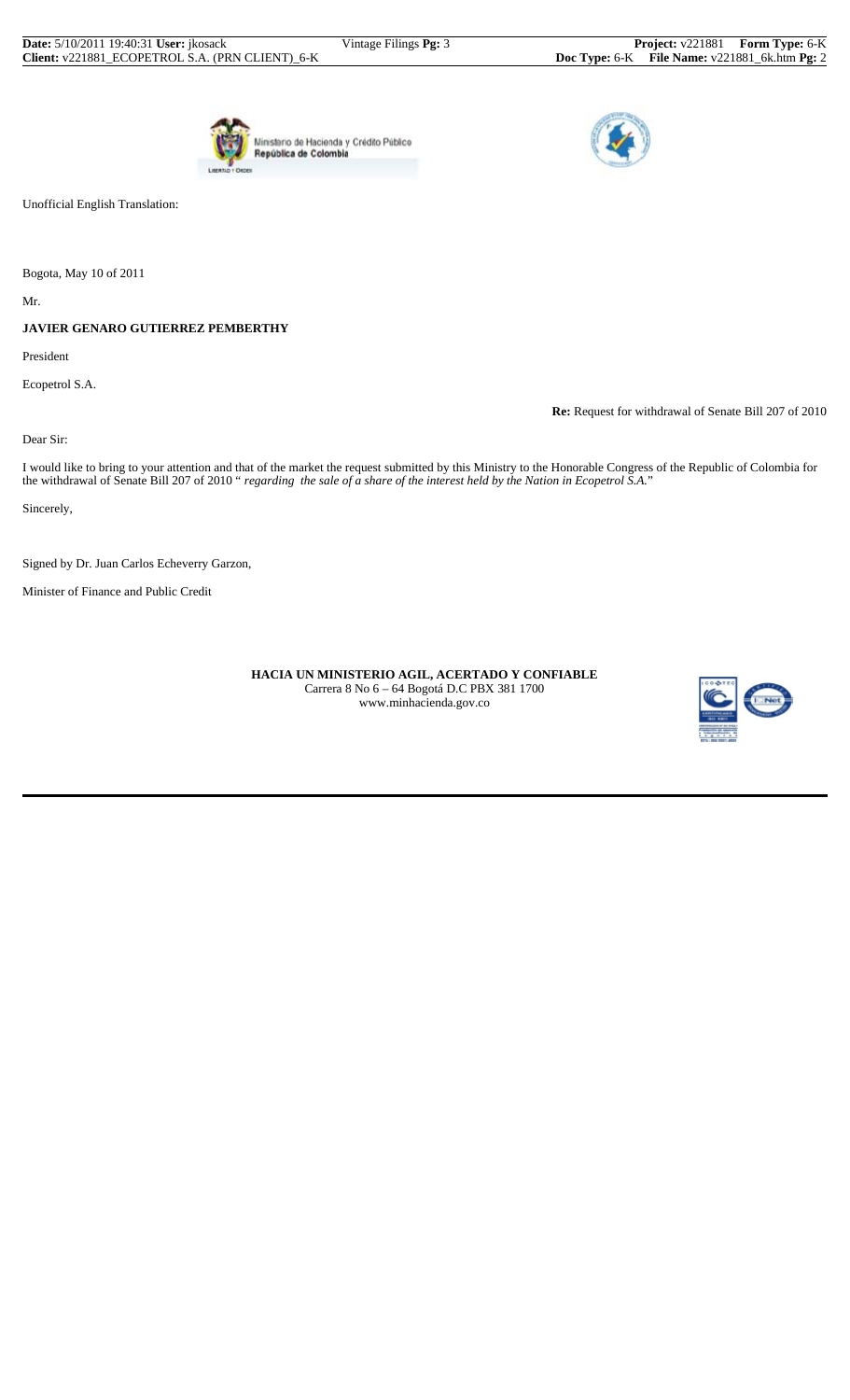



Unofficial English Translation:

Bogota, May 10 of 2011

Mr.

## **JAVIER GENARO GUTIERREZ PEMBERTHY**

President

Ecopetrol S.A.

**Re:** Request for withdrawal of Senate Bill 207 of 2010

Dear Sir:

I would like to bring to your attention and that of the market the request submitted by this Ministry to the Honorable Congress of the Republic of Colombia for the withdrawal of Senate Bill 207 of 2010 " *regarding the sale of a share of the interest held by the Nation in Ecopetrol S.A.*"

Sincerely,

Signed by Dr. Juan Carlos Echeverry Garzon,

Minister of Finance and Public Credit

 **HACIA UN MINISTERIO AGIL, ACERTADO Y CONFIABLE** Carrera 8 No 6 – 64 Bogotá D.C PBX 381 1700 www.minhacienda.gov.co

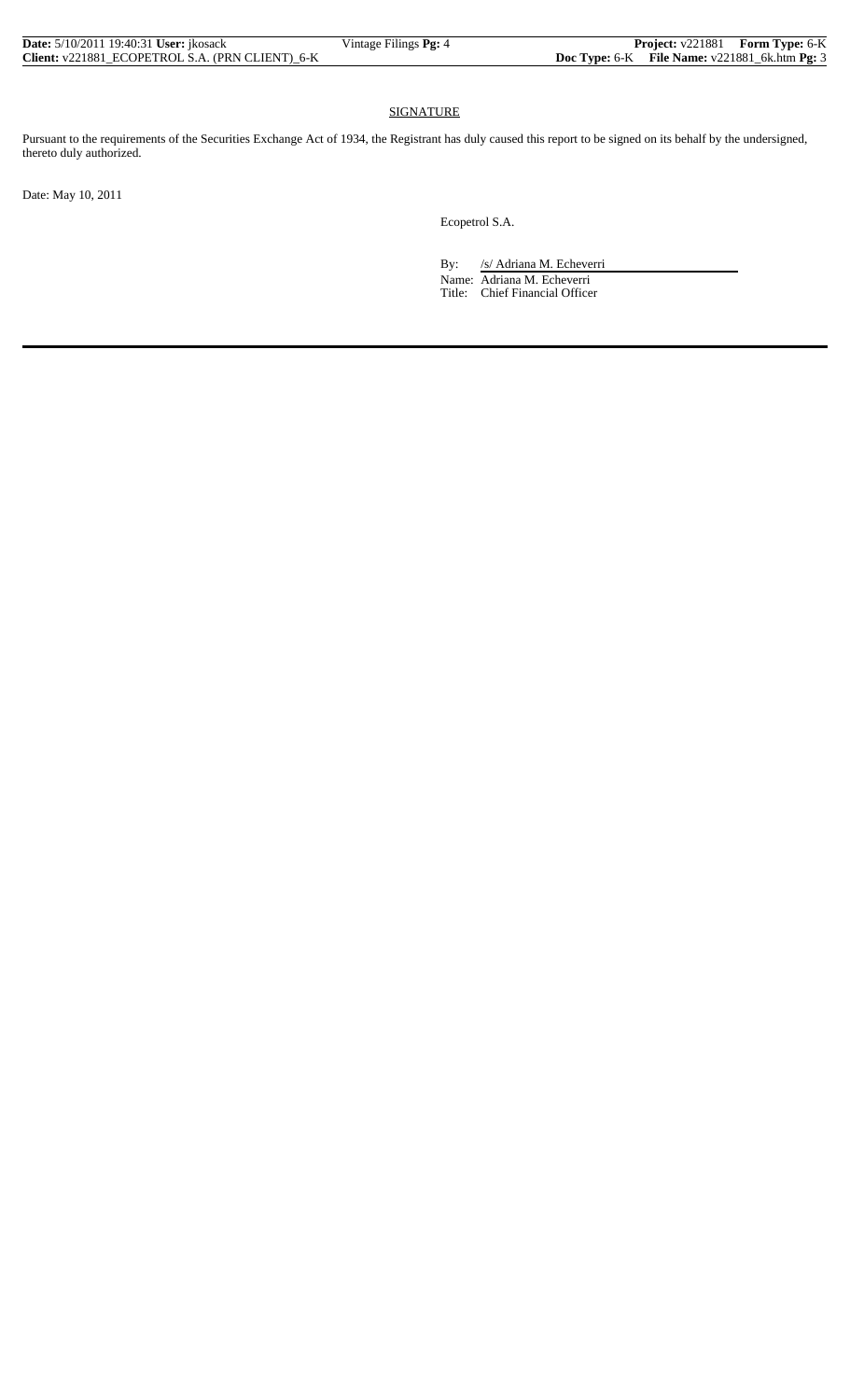| <b>Date:</b> 5/10/2011 19:40:31 <b>User:</b> ikosack | Vintage Filings Pg: 4 |  | <b>Project:</b> v221881 Form Type: 6-K            |
|------------------------------------------------------|-----------------------|--|---------------------------------------------------|
| Client: v221881_ECOPETROL S.A. (PRN CLIENT)_6-K      |                       |  | Doc Type: $6-K$ File Name: $v221881_6k.htm$ Pg: 3 |

## SIGNATURE

Pursuant to the requirements of the Securities Exchange Act of 1934, the Registrant has duly caused this report to be signed on its behalf by the undersigned, thereto duly authorized.

Date: May 10, 2011

Ecopetrol S.A.

By: /s/ Adriana M. Echeverri

 Name: Adriana M. Echeverri Title: Chief Financial Officer